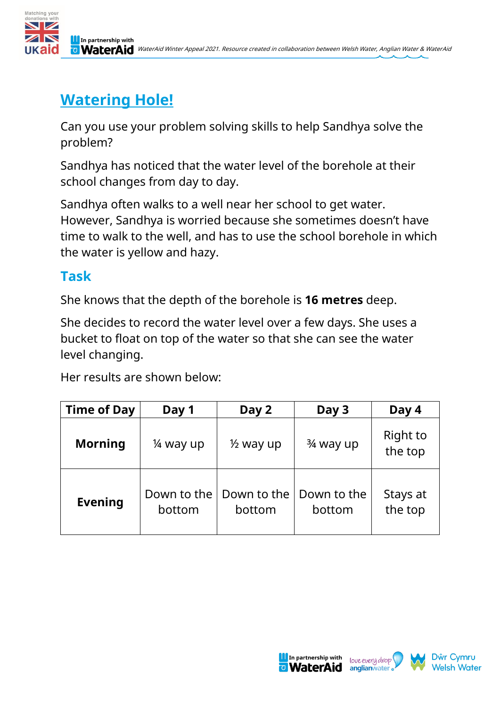

## **Watering Hole!**

Can you use your problem solving skills to help Sandhya solve the problem?

Sandhya has noticed that the water level of the borehole at their school changes from day to day.

Sandhya often walks to a well near her school to get water. However, Sandhya is worried because she sometimes doesn't have time to walk to the well, and has to use the school borehole in which the water is yellow and hazy.

## **Task**

She knows that the depth of the borehole is **16 metres** deep.

She decides to record the water level over a few days. She uses a bucket to float on top of the water so that she can see the water level changing.

Her results are shown below:

| <b>Time of Day</b> | Day 1                 | Day 2                 | Day 3                 | Day 4               |
|--------------------|-----------------------|-----------------------|-----------------------|---------------------|
| <b>Morning</b>     | 1/4 way up            | $\frac{1}{2}$ way up  | $\frac{3}{4}$ way up  | Right to<br>the top |
| <b>Evening</b>     | Down to the<br>bottom | Down to the<br>bottom | Down to the<br>bottom | Stays at<br>the top |